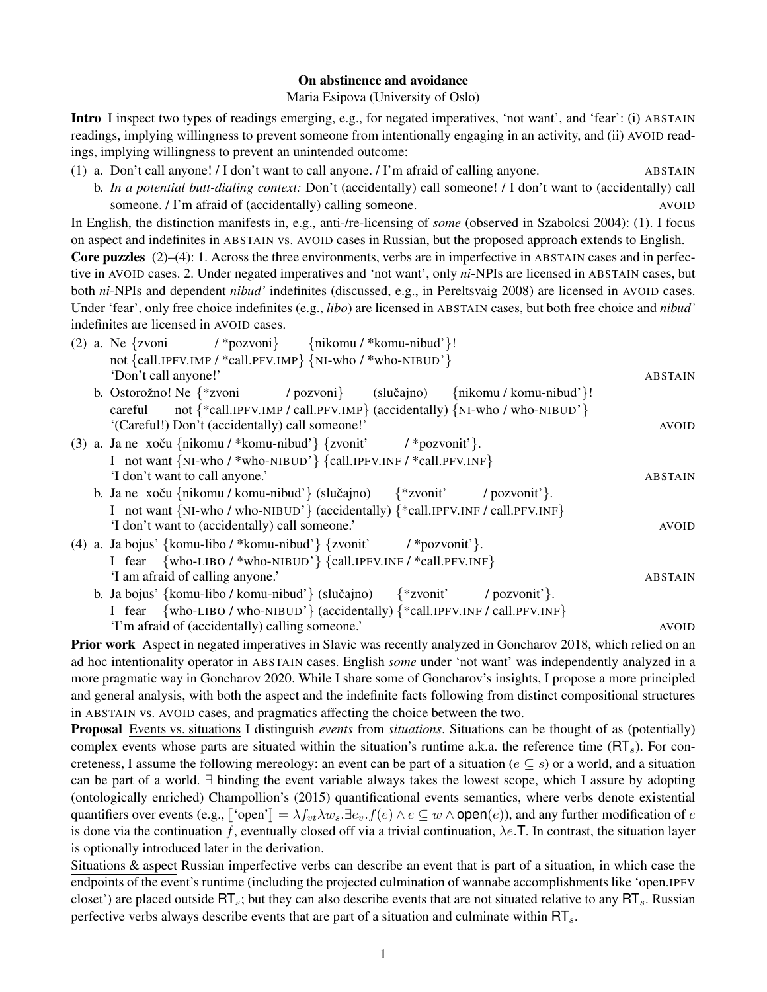## On abstinence and avoidance

Maria Esipova (University of Oslo)

<span id="page-0-3"></span>Intro I inspect two types of readings emerging, e.g., for negated imperatives, 'not want', and 'fear': (i) ABSTAIN readings, implying willingness to prevent someone from intentionally engaging in an activity, and (ii) AVOID readings, implying willingness to prevent an unintended outcome:

- <span id="page-0-0"></span>(1) a. Don't call anyone! / I don't want to call anyone. / I'm afraid of calling anyone. ABSTAIN
	- b. *In a potential butt-dialing context:* Don't (accidentally) call someone! / I don't want to (accidentally) call someone. / I'm afraid of (accidentally) calling someone. AVOID

In English, the distinction manifests in, e.g., anti-/re-licensing of *some* (observed in Szabolcsi 2004): [\(1\).](#page-0-0) I focus on aspect and indefinites in ABSTAIN vs. AVOID cases in Russian, but the proposed approach extends to English.

Core puzzles [\(2\)–](#page-0-1)[\(4\):](#page-0-2) 1. Across the three environments, verbs are in imperfective in ABSTAIN cases and in perfective in AVOID cases. 2. Under negated imperatives and 'not want', only *ni*-NPIs are licensed in ABSTAIN cases, but both *ni*-NPIs and dependent *nibud'* indefinites (discussed, e.g., in Pereltsvaig 2008) are licensed in AVOID cases. Under 'fear', only free choice indefinites (e.g., *libo*) are licensed in ABSTAIN cases, but both free choice and *nibud'* indefinites are licensed in AVOID cases.

<span id="page-0-1"></span>

| $(2)$ a. Ne {zvoni<br>$\{\frac{\ast}{\text{pozvon}}\}$ {nikomu / $\ast$ komu-nibud'}!                     |                |
|-----------------------------------------------------------------------------------------------------------|----------------|
| not {call.IPFV.IMP / *call.PFV.IMP} {NI-who / *who-NIBUD'}                                                |                |
| 'Don't call anyone!'                                                                                      | <b>ABSTAIN</b> |
| b. Ostorožno! Ne $\{$ *zvoni<br>/ pozvoni} (slučajno) {nikomu / komu-nibud'}!                             |                |
| not $\{\text{*call.IPFV.IMP / call.PFV.IMP}\}$ (accidentally) $\{NI\$ {NI-who / who-NIBUD'\}\}<br>careful |                |
| '(Careful!) Don't (accidentally) call someone!'                                                           | <b>AVOID</b>   |

- (3) a. Ja ne xoču {nikomu / \*komu-nibud'} {zvonit' I not want {NI-who / \*who-NIBUD'} {call.IPFV.INF / \*call.PFV.INF} / \*pozvonit'}. 'I don't want to call anyone.' ABSTAIN
	- b. Ja ne xoču {nikomu / komu-nibud'} (slučajno) I not want {NI-who / who-NIBUD'} (accidentally) {\*call.IPFV.INF / call.PFV.INF} {\*zvonit' / pozvonit'}. 'I don't want to (accidentally) call someone.' AVOID
- <span id="page-0-2"></span>(4) a. Ja bojus' {komu-libo / \*komu-nibud'} {zvonit' I fear {who-LIBO / \*who-NIBUD'} {call.IPFV.INF / \*call.PFV.INF} / \*pozvonit'}. 'I am afraid of calling anyone.' ABSTAIN
	- b. Ja bojus' {komu-libo / komu-nibud'} (slučajno) I fear {who-LIBO / who-NIBUD'} (accidentally) {\*call.IPFV.INF / call.PFV.INF} {\*zvonit' / pozvonit'}. 'I'm afraid of (accidentally) calling someone.' AVOID

Prior work Aspect in negated imperatives in Slavic was recently analyzed in Goncharov 2018, which relied on an ad hoc intentionality operator in ABSTAIN cases. English *some* under 'not want' was independently analyzed in a more pragmatic way in Goncharov 2020. While I share some of Goncharov's insights, I propose a more principled and general analysis, with both the aspect and the indefinite facts following from distinct compositional structures in ABSTAIN vs. AVOID cases, and pragmatics affecting the choice between the two.

Proposal Events vs. situations I distinguish *events* from *situations*. Situations can be thought of as (potentially) complex events whose parts are situated within the situation's runtime a.k.a. the reference time  $(RT<sub>s</sub>)$ . For concreteness, I assume the following mereology: an event can be part of a situation ( $e \subseteq s$ ) or a world, and a situation can be part of a world. ∃ binding the event variable always takes the lowest scope, which I assure by adopting (ontologically enriched) Champollion's (2015) quantificational events semantics, where verbs denote existential quantifiers over events (e.g.,  $\lbrack \lbrack \text{open'} \rbrack = \lambda f_{vt} \lambda w_s \exists e_v \cdot f(e) \wedge e \subseteq w \wedge \text{open}(e)$ ), and any further modification of e is done via the continuation f, eventually closed off via a trivial continuation,  $\lambda e$ . T. In contrast, the situation layer is optionally introduced later in the derivation.

Situations & aspect Russian imperfective verbs can describe an event that is part of a situation, in which case the endpoints of the event's runtime (including the projected culmination of wannabe accomplishments like 'open.IPFV closet') are placed outside  $\overline{RT}_s$ ; but they can also describe events that are not situated relative to any  $\overline{RT}_s$ . Russian perfective verbs always describe events that are part of a situation and culminate within  $\overline{\text{RT}}_s$ .